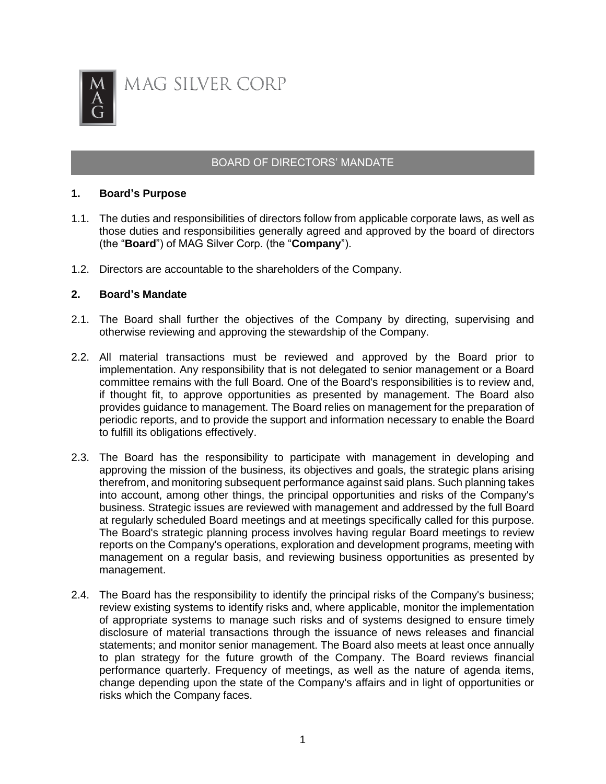

MAG SILVER CORP

# BOARD OF DIRECTORS' MANDATE

#### **1. Board's Purpose**

- 1.1. The duties and responsibilities of directors follow from applicable corporate laws, as well as those duties and responsibilities generally agreed and approved by the board of directors (the "**Board**") of MAG Silver Corp. (the "**Company**").
- 1.2. Directors are accountable to the shareholders of the Company.

#### **2. Board's Mandate**

- 2.1. The Board shall further the objectives of the Company by directing, supervising and otherwise reviewing and approving the stewardship of the Company.
- 2.2. All material transactions must be reviewed and approved by the Board prior to implementation. Any responsibility that is not delegated to senior management or a Board committee remains with the full Board. One of the Board's responsibilities is to review and, if thought fit, to approve opportunities as presented by management. The Board also provides guidance to management. The Board relies on management for the preparation of periodic reports, and to provide the support and information necessary to enable the Board to fulfill its obligations effectively.
- 2.3. The Board has the responsibility to participate with management in developing and approving the mission of the business, its objectives and goals, the strategic plans arising therefrom, and monitoring subsequent performance against said plans. Such planning takes into account, among other things, the principal opportunities and risks of the Company's business. Strategic issues are reviewed with management and addressed by the full Board at regularly scheduled Board meetings and at meetings specifically called for this purpose. The Board's strategic planning process involves having regular Board meetings to review reports on the Company's operations, exploration and development programs, meeting with management on a regular basis, and reviewing business opportunities as presented by management.
- 2.4. The Board has the responsibility to identify the principal risks of the Company's business; review existing systems to identify risks and, where applicable, monitor the implementation of appropriate systems to manage such risks and of systems designed to ensure timely disclosure of material transactions through the issuance of news releases and financial statements; and monitor senior management. The Board also meets at least once annually to plan strategy for the future growth of the Company. The Board reviews financial performance quarterly. Frequency of meetings, as well as the nature of agenda items, change depending upon the state of the Company's affairs and in light of opportunities or risks which the Company faces.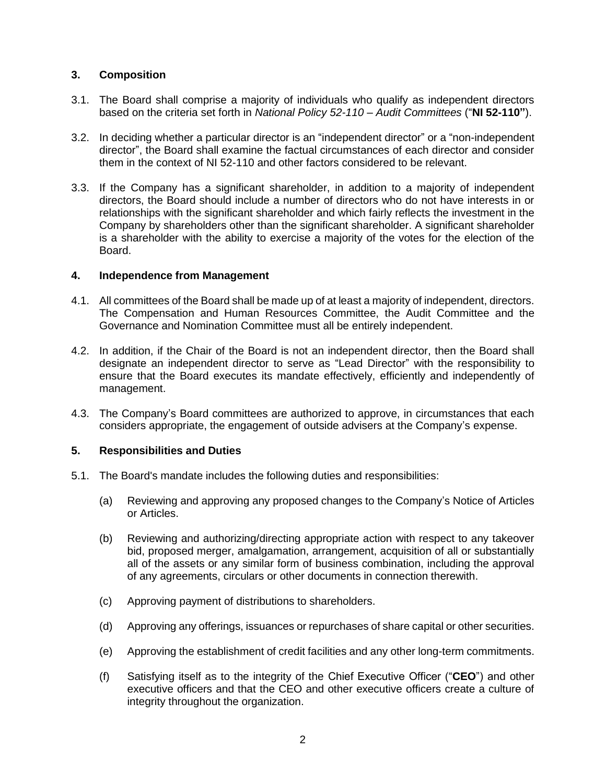# **3. Composition**

- 3.1. The Board shall comprise a majority of individuals who qualify as independent directors based on the criteria set forth in *National Policy 52-110 – Audit Committees* ("**NI 52-110"**).
- 3.2. In deciding whether a particular director is an "independent director" or a "non-independent director", the Board shall examine the factual circumstances of each director and consider them in the context of NI 52-110 and other factors considered to be relevant.
- 3.3. If the Company has a significant shareholder, in addition to a majority of independent directors, the Board should include a number of directors who do not have interests in or relationships with the significant shareholder and which fairly reflects the investment in the Company by shareholders other than the significant shareholder. A significant shareholder is a shareholder with the ability to exercise a majority of the votes for the election of the Board.

# **4. Independence from Management**

- 4.1. All committees of the Board shall be made up of at least a majority of independent, directors. The Compensation and Human Resources Committee, the Audit Committee and the Governance and Nomination Committee must all be entirely independent.
- 4.2. In addition, if the Chair of the Board is not an independent director, then the Board shall designate an independent director to serve as "Lead Director" with the responsibility to ensure that the Board executes its mandate effectively, efficiently and independently of management.
- 4.3. The Company's Board committees are authorized to approve, in circumstances that each considers appropriate, the engagement of outside advisers at the Company's expense.

# **5. Responsibilities and Duties**

- 5.1. The Board's mandate includes the following duties and responsibilities:
	- (a) Reviewing and approving any proposed changes to the Company's Notice of Articles or Articles.
	- (b) Reviewing and authorizing/directing appropriate action with respect to any takeover bid, proposed merger, amalgamation, arrangement, acquisition of all or substantially all of the assets or any similar form of business combination, including the approval of any agreements, circulars or other documents in connection therewith.
	- (c) Approving payment of distributions to shareholders.
	- (d) Approving any offerings, issuances or repurchases of share capital or other securities.
	- (e) Approving the establishment of credit facilities and any other long-term commitments.
	- (f) Satisfying itself as to the integrity of the Chief Executive Officer ("**CEO**") and other executive officers and that the CEO and other executive officers create a culture of integrity throughout the organization.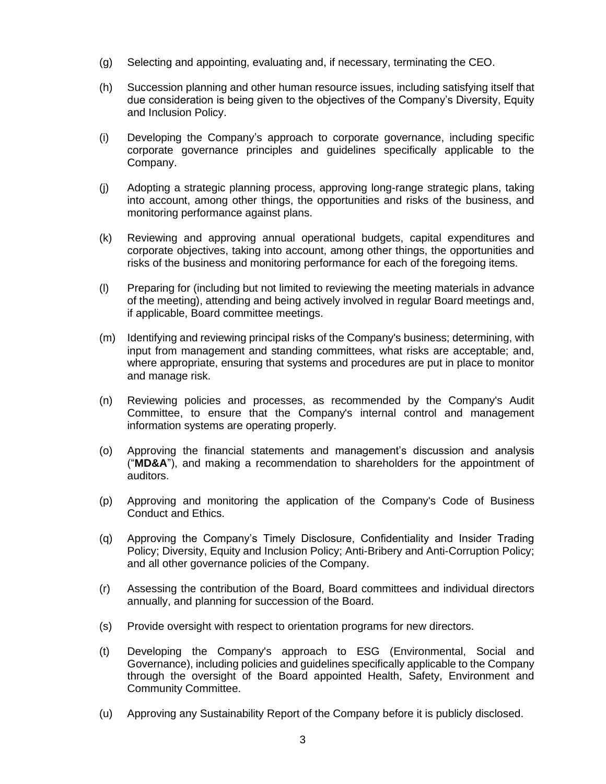- (g) Selecting and appointing, evaluating and, if necessary, terminating the CEO.
- (h) Succession planning and other human resource issues, including satisfying itself that due consideration is being given to the objectives of the Company's Diversity, Equity and Inclusion Policy.
- (i) Developing the Company's approach to corporate governance, including specific corporate governance principles and guidelines specifically applicable to the Company.
- (j) Adopting a strategic planning process, approving long-range strategic plans, taking into account, among other things, the opportunities and risks of the business, and monitoring performance against plans.
- (k) Reviewing and approving annual operational budgets, capital expenditures and corporate objectives, taking into account, among other things, the opportunities and risks of the business and monitoring performance for each of the foregoing items.
- (l) Preparing for (including but not limited to reviewing the meeting materials in advance of the meeting), attending and being actively involved in regular Board meetings and, if applicable, Board committee meetings.
- (m) Identifying and reviewing principal risks of the Company's business; determining, with input from management and standing committees, what risks are acceptable; and, where appropriate, ensuring that systems and procedures are put in place to monitor and manage risk.
- (n) Reviewing policies and processes, as recommended by the Company's Audit Committee, to ensure that the Company's internal control and management information systems are operating properly.
- (o) Approving the financial statements and management's discussion and analysis ("**MD&A**"), and making a recommendation to shareholders for the appointment of auditors.
- (p) Approving and monitoring the application of the Company's Code of Business Conduct and Ethics.
- (q) Approving the Company's Timely Disclosure, Confidentiality and Insider Trading Policy; Diversity, Equity and Inclusion Policy; Anti-Bribery and Anti-Corruption Policy; and all other governance policies of the Company.
- (r) Assessing the contribution of the Board, Board committees and individual directors annually, and planning for succession of the Board.
- (s) Provide oversight with respect to orientation programs for new directors.
- (t) Developing the Company's approach to ESG (Environmental, Social and Governance), including policies and guidelines specifically applicable to the Company through the oversight of the Board appointed Health, Safety, Environment and Community Committee.
- (u) Approving any Sustainability Report of the Company before it is publicly disclosed.